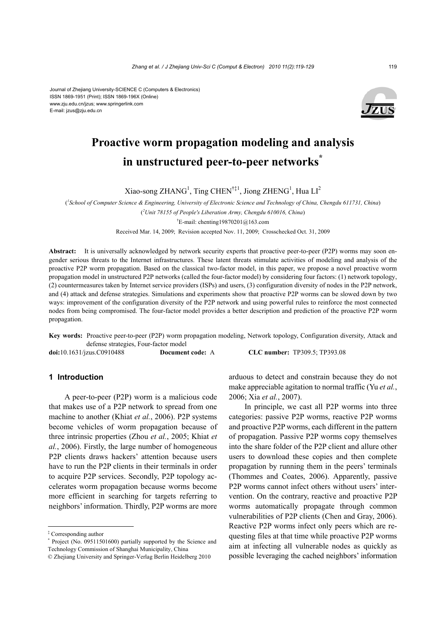

# **Proactive worm propagation modeling and analysis in unstructured peer-to-peer networks\***

Xiao-song ZHANG<sup>1</sup>, Ting CHEN<sup>†‡1</sup>, Jiong ZHENG<sup>1</sup>, Hua LI<sup>2</sup>

( *1 School of Computer Science & Engineering, University of Electronic Science and Technology of China, Chengdu 611731, China*)

( *2 Unit 78155 of People's Liberation Army, Chengdu 610016, China*)

† E-mail: chenting19870201@163.com

Received Mar. 14, 2009; Revision accepted Nov. 11, 2009; Crosschecked Oct. 31, 2009

**Abstract:** It is universally acknowledged by network security experts that proactive peer-to-peer (P2P) worms may soon engender serious threats to the Internet infrastructures. These latent threats stimulate activities of modeling and analysis of the proactive P2P worm propagation. Based on the classical two-factor model, in this paper, we propose a novel proactive worm propagation model in unstructured P2P networks (called the four-factor model) by considering four factors: (1) network topology, (2) countermeasures taken by Internet service providers (ISPs) and users, (3) configuration diversity of nodes in the P2P network, and (4) attack and defense strategies. Simulations and experiments show that proactive P2P worms can be slowed down by two ways: improvement of the configuration diversity of the P2P network and using powerful rules to reinforce the most connected nodes from being compromised. The four-factor model provides a better description and prediction of the proactive P2P worm propagation.

**Key words:** Proactive peer-to-peer (P2P) worm propagation modeling, Network topology, Configuration diversity, Attack and defense strategies, Four-factor model

**doi:**10.1631/jzus.C0910488 **Document code:** A **CLC number:** TP309.5; TP393.08

## **1 Introduction**

A peer-to-peer (P2P) worm is a malicious code that makes use of a P2P network to spread from one machine to another (Khiat *et al.*, 2006). P2P systems become vehicles of worm propagation because of three intrinsic properties (Zhou *et al.*, 2005; Khiat *et al.*, 2006). Firstly, the large number of homogeneous P2P clients draws hackers' attention because users have to run the P2P clients in their terminals in order to acquire P2P services. Secondly, P2P topology accelerates worm propagation because worms become more efficient in searching for targets referring to neighbors' information. Thirdly, P2P worms are more

arduous to detect and constrain because they do not make appreciable agitation to normal traffic (Yu *et al.*, 2006; Xia *et al.*, 2007).

In principle, we cast all P2P worms into three categories: passive P2P worms, reactive P2P worms and proactive P2P worms, each different in the pattern of propagation. Passive P2P worms copy themselves into the share folder of the P2P client and allure other users to download these copies and then complete propagation by running them in the peers' terminals (Thommes and Coates, 2006). Apparently, passive P2P worms cannot infect others without users' intervention. On the contrary, reactive and proactive P2P worms automatically propagate through common vulnerabilities of P2P clients (Chen and Gray, 2006). Reactive P2P worms infect only peers which are requesting files at that time while proactive P2P worms aim at infecting all vulnerable nodes as quickly as possible leveraging the cached neighbors' information

<sup>‡</sup> Corresponding author

<sup>\*</sup> Project (No. 09511501600) partially supported by the Science and Technology Commission of Shanghai Municipality, China

<sup>©</sup> Zhejiang University and Springer-Verlag Berlin Heidelberg 2010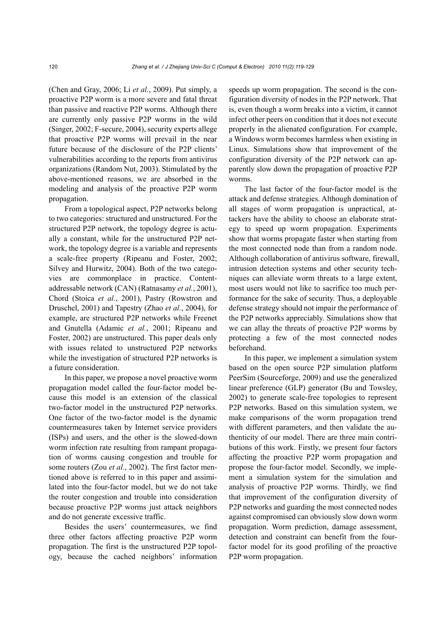(Chen and Gray, 2006; Li *et al.*, 2009). Put simply, a proactive P2P worm is a more severe and fatal threat than passive and reactive P2P worms. Although there are currently only passive P2P worms in the wild (Singer, 2002; F-secure, 2004), security experts allege that proactive P2P worms will prevail in the near future because of the disclosure of the P2P clients' vulnerabilities according to the reports from antivirus organizations (Random Nut, 2003). Stimulated by the above-mentioned reasons, we are absorbed in the modeling and analysis of the proactive P2P worm propagation.

From a topological aspect, P2P networks belong to two categories: structured and unstructured. For the structured P2P network, the topology degree is actually a constant, while for the unstructured P2P network, the topology degree is a variable and represents a scale-free property (Ripeanu and Foster, 2002; Silvey and Hurwitz, 2004). Both of the two categovies are commonplace in practice. Contentaddressable network (CAN) (Ratnasamy *et al.*, 2001), Chord (Stoica *et al.*, 2001), Pastry (Rowstron and Druschel, 2001) and Tapestry (Zhao *et al.*, 2004), for example, are structured P2P networks while Freenet and Gnutella (Adamic *et al.*, 2001; Ripeanu and Foster, 2002) are unstructured. This paper deals only with issues related to unstructured P2P networks while the investigation of structured P2P networks is a future consideration.

In this paper, we propose a novel proactive worm propagation model called the four-factor model because this model is an extension of the classical two-factor model in the unstructured P2P networks. One factor of the two-factor model is the dynamic countermeasures taken by Internet service providers (ISPs) and users, and the other is the slowed-down worm infection rate resulting from rampant propagation of worms causing congestion and trouble for some routers (Zou *et al.*, 2002). The first factor mentioned above is referred to in this paper and assimilated into the four-factor model, but we do not take the router congestion and trouble into consideration because proactive P2P worms just attack neighbors and do not generate excessive traffic.

Besides the users' countermeasures, we find three other factors affecting proactive P2P worm propagation. The first is the unstructured P2P topology, because the cached neighbors' information

speeds up worm propagation. The second is the configuration diversity of nodes in the P2P network. That is, even though a worm breaks into a victim, it cannot infect other peers on condition that it does not execute properly in the alienated configuration. For example, a Windows worm becomes harmless when existing in Linux. Simulations show that improvement of the configuration diversity of the P2P network can apparently slow down the propagation of proactive P2P worms.

The last factor of the four-factor model is the attack and defense strategies. Although domination of all stages of worm propagation is unpractical, attackers have the ability to choose an elaborate strategy to speed up worm propagation. Experiments show that worms propagate faster when starting from the most connected node than from a random node. Although collaboration of antivirus software, firewall, intrusion detection systems and other security techniques can alleviate worm threats to a large extent, most users would not like to sacrifice too much performance for the sake of security. Thus, a deployable defense strategy should not impair the performance of the P2P networks appreciably. Simulations show that we can allay the threats of proactive P2P worms by protecting a few of the most connected nodes beforehand.

In this paper, we implement a simulation system based on the open source P2P simulation platform PeerSim (Sourceforge, 2009) and use the generalized linear preference (GLP) generator (Bu and Towsley, 2002) to generate scale-free topologies to represent P2P networks. Based on this simulation system, we make comparisons of the worm propagation trend with different parameters, and then validate the authenticity of our model. There are three main contributions of this work. Firstly, we present four factors affecting the proactive P2P worm propagation and propose the four-factor model. Secondly, we implement a simulation system for the simulation and analysis of proactive P2P worms. Thirdly, we find that improvement of the configuration diversity of P2P networks and guarding the most connected nodes against compromised can obviously slow down worm propagation. Worm prediction, damage assessment, detection and constraint can benefit from the fourfactor model for its good profiling of the proactive P2P worm propagation.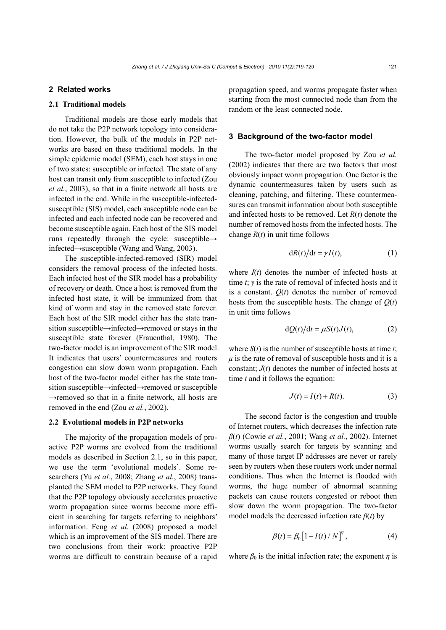## **2 Related works**

#### **2.1 Traditional models**

Traditional models are those early models that do not take the P2P network topology into consideration. However, the bulk of the models in P2P networks are based on these traditional models. In the simple epidemic model (SEM), each host stays in one of two states: susceptible or infected. The state of any host can transit only from susceptible to infected (Zou *et al.*, 2003), so that in a finite network all hosts are infected in the end. While in the susceptible-infectedsusceptible (SIS) model, each susceptible node can be infected and each infected node can be recovered and become susceptible again. Each host of the SIS model runs repeatedly through the cycle: susceptible→ infected→susceptible (Wang and Wang, 2003).

The susceptible-infected-removed (SIR) model considers the removal process of the infected hosts. Each infected host of the SIR model has a probability of recovery or death. Once a host is removed from the infected host state, it will be immunized from that kind of worm and stay in the removed state forever. Each host of the SIR model either has the state transition susceptible→infected→removed or stays in the susceptible state forever (Frauenthal, 1980). The two-factor model is an improvement of the SIR model. It indicates that users' countermeasures and routers congestion can slow down worm propagation. Each host of the two-factor model either has the state transition susceptible→infected→removed or susceptible →removed so that in a finite network, all hosts are removed in the end (Zou *et al.*, 2002).

## **2.2 Evolutional models in P2P networks**

The majority of the propagation models of proactive P2P worms are evolved from the traditional models as described in Section 2.1, so in this paper, we use the term 'evolutional models'. Some researchers (Yu *et al.*, 2008; Zhang *et al.*, 2008) transplanted the SEM model to P2P networks. They found that the P2P topology obviously accelerates proactive worm propagation since worms become more efficient in searching for targets referring to neighbors' information. Feng *et al.* (2008) proposed a model which is an improvement of the SIS model. There are two conclusions from their work: proactive P2P worms are difficult to constrain because of a rapid propagation speed, and worms propagate faster when starting from the most connected node than from the random or the least connected node.

## **3 Background of the two-factor model**

The two-factor model proposed by Zou *et al.*  (2002) indicates that there are two factors that most obviously impact worm propagation. One factor is the dynamic countermeasures taken by users such as cleaning, patching, and filtering. These countermeasures can transmit information about both susceptible and infected hosts to be removed. Let *R*(*t*) denote the number of removed hosts from the infected hosts. The change  $R(t)$  in unit time follows

$$
dR(t)/dt = \gamma I(t), \qquad (1)
$$

where  $I(t)$  denotes the number of infected hosts at time *t*; *γ* is the rate of removal of infected hosts and it is a constant.  $O(t)$  denotes the number of removed hosts from the susceptible hosts. The change of  $Q(t)$ in unit time follows

$$
dQ(t)/dt = \mu S(t)J(t), \qquad (2)
$$

where  $S(t)$  is the number of susceptible hosts at time *t*;  $\mu$  is the rate of removal of susceptible hosts and it is a constant;  $J(t)$  denotes the number of infected hosts at time *t* and it follows the equation:

$$
J(t) = I(t) + R(t).
$$
 (3)

The second factor is the congestion and trouble of Internet routers, which decreases the infection rate *β*(*t*) (Cowie *et al.*, 2001; Wang *et al.*, 2002). Internet worms usually search for targets by scanning and many of those target IP addresses are never or rarely seen by routers when these routers work under normal conditions. Thus when the Internet is flooded with worms, the huge number of abnormal scanning packets can cause routers congested or reboot then slow down the worm propagation. The two-factor model models the decreased infection rate  $\beta(t)$  by

$$
\beta(t) = \beta_0 [1 - I(t) / N]^{\eta}, \tag{4}
$$

where  $\beta_0$  is the initial infection rate; the exponent  $\eta$  is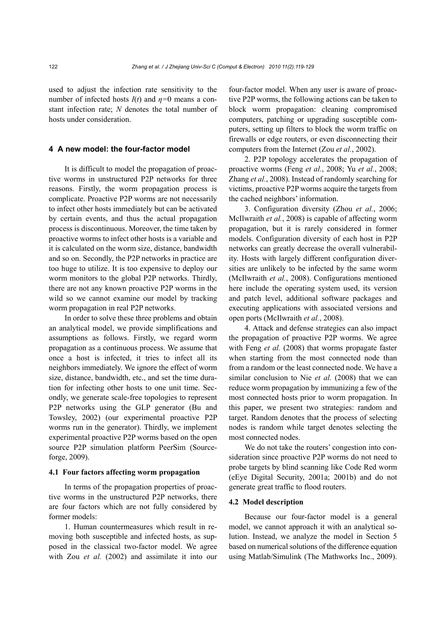used to adjust the infection rate sensitivity to the number of infected hosts  $I(t)$  and  $\eta=0$  means a constant infection rate; *N* denotes the total number of hosts under consideration.

## **4 A new model: the four-factor model**

It is difficult to model the propagation of proactive worms in unstructured P2P networks for three reasons. Firstly, the worm propagation process is complicate. Proactive P2P worms are not necessarily to infect other hosts immediately but can be activated by certain events, and thus the actual propagation process is discontinuous. Moreover, the time taken by proactive worms to infect other hosts is a variable and it is calculated on the worm size, distance, bandwidth and so on. Secondly, the P2P networks in practice are too huge to utilize. It is too expensive to deploy our worm monitors to the global P2P networks. Thirdly, there are not any known proactive P2P worms in the wild so we cannot examine our model by tracking worm propagation in real P2P networks.

In order to solve these three problems and obtain an analytical model, we provide simplifications and assumptions as follows. Firstly, we regard worm propagation as a continuous process. We assume that once a host is infected, it tries to infect all its neighbors immediately. We ignore the effect of worm size, distance, bandwidth, etc., and set the time duration for infecting other hosts to one unit time. Secondly, we generate scale-free topologies to represent P2P networks using the GLP generator (Bu and Towsley, 2002) (our experimental proactive P2P worms run in the generator). Thirdly, we implement experimental proactive P2P worms based on the open source P2P simulation platform PeerSim (Sourceforge, 2009).

#### **4.1 Four factors affecting worm propagation**

In terms of the propagation properties of proactive worms in the unstructured P2P networks, there are four factors which are not fully considered by former models:

1. Human countermeasures which result in removing both susceptible and infected hosts, as supposed in the classical two-factor model. We agree with Zou *et al.* (2002) and assimilate it into our four-factor model. When any user is aware of proactive P2P worms, the following actions can be taken to block worm propagation: cleaning compromised computers, patching or upgrading susceptible computers, setting up filters to block the worm traffic on firewalls or edge routers, or even disconnecting their computers from the Internet (Zou *et al.*, 2002).

2. P2P topology accelerates the propagation of proactive worms (Feng *et al.*, 2008; Yu *et al.*, 2008; Zhang *et al.*, 2008). Instead of randomly searching for victims, proactive P2P worms acquire the targets from the cached neighbors' information.

3. Configuration diversity (Zhou *et al.*, 2006; McIlwraith *et al.*, 2008) is capable of affecting worm propagation, but it is rarely considered in former models. Configuration diversity of each host in P2P networks can greatly decrease the overall vulnerability. Hosts with largely different configuration diversities are unlikely to be infected by the same worm (McIlwraith *et al.*, 2008). Configurations mentioned here include the operating system used, its version and patch level, additional software packages and executing applications with associated versions and open ports (McIlwraith *et al.*, 2008).

4. Attack and defense strategies can also impact the propagation of proactive P2P worms. We agree with Feng *et al.* (2008) that worms propagate faster when starting from the most connected node than from a random or the least connected node. We have a similar conclusion to Nie *et al.* (2008) that we can reduce worm propagation by immunizing a few of the most connected hosts prior to worm propagation. In this paper, we present two strategies: random and target. Random denotes that the process of selecting nodes is random while target denotes selecting the most connected nodes.

We do not take the routers' congestion into consideration since proactive P2P worms do not need to probe targets by blind scanning like Code Red worm (eEye Digital Security, 2001a; 2001b) and do not generate great traffic to flood routers.

#### **4.2 Model description**

Because our four-factor model is a general model, we cannot approach it with an analytical solution. Instead, we analyze the model in Section 5 based on numerical solutions of the difference equation using Matlab/Simulink (The Mathworks Inc., 2009).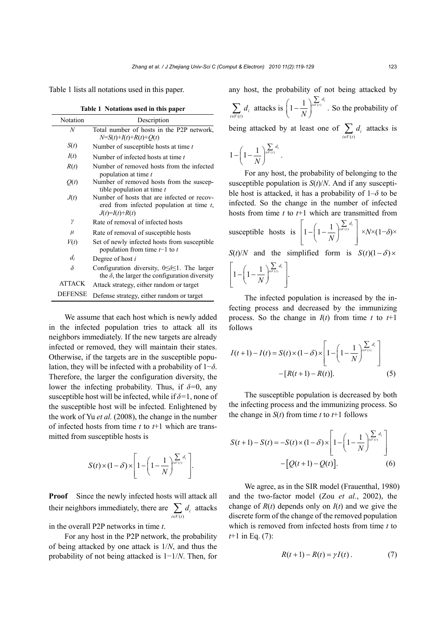Table 1 lists all notations used in this paper.

**Table 1 Notations used in this paper**

| Notation       | Description                                                                                                         |
|----------------|---------------------------------------------------------------------------------------------------------------------|
| N              | Total number of hosts in the P2P network,<br>$N=S(t)+I(t)+R(t)+Q(t)$                                                |
| S(t)           | Number of susceptible hosts at time t                                                                               |
| I(t)           | Number of infected hosts at time t                                                                                  |
| R(t)           | Number of removed hosts from the infected<br>population at time t                                                   |
| Q(t)           | Number of removed hosts from the suscep-<br>tible population at time t                                              |
| J(t)           | Number of hosts that are infected or recov-<br>ered from infected population at time $t$ ,<br>$J(t)=I(t)+R(t)$      |
| γ              | Rate of removal of infected hosts                                                                                   |
| $\mu$          | Rate of removal of susceptible hosts                                                                                |
| V(t)           | Set of newly infected hosts from susceptible<br>population from time $t-1$ to t                                     |
| $d_i$          | Degree of host i                                                                                                    |
| δ              | Configuration diversity, $0 \le \delta \le 1$ . The larger<br>the $\delta$ , the larger the configuration diversity |
| <b>ATTACK</b>  | Attack strategy, either random or target                                                                            |
| <b>DEFENSE</b> | Defense strategy, either random or target                                                                           |

We assume that each host which is newly added in the infected population tries to attack all its neighbors immediately. If the new targets are already infected or removed, they will maintain their states. Otherwise, if the targets are in the susceptible population, they will be infected with a probability of 1−*δ*. Therefore, the larger the configuration diversity, the lower the infecting probability. Thus, if *δ=*0, any susceptible host will be infected, while if  $\delta$ =1, none of the susceptible host will be infected. Enlightened by the work of Yu *et al.* (2008), the change in the number of infected hosts from time *t* to *t*+1 which are transmitted from susceptible hosts is

$$
S(t) \times (1-\delta) \times \left[1 - \left(1 - \frac{1}{N}\right)^{\sum_{i \in V(t)} d_i} \right].
$$

**Proof** Since the newly infected hosts will attack all their neighbors immediately, there are  $\sum_{i \in V(t)} u_i$ *d*  $\sum_{i \in V(t)} d_i$  attacks

in the overall P2P networks in time *t*.

For any host in the P2P network, the probability of being attacked by one attack is 1/*N*, and thus the probability of not being attacked is 1−1/*N*. Then, for any host, the probability of not being attacked by  $\sum_{i \in V(t)} u_i$ *d*  $\sum_{i \in V(t)} d_i$  attacks is  $\left(1 - \frac{1}{N}\right)^{\sum_{i \in V(t)} d_i}$ . *N* ∈  $\left(1 - \frac{1}{N}\right)^{\sum_{eV(t)}}$ . So the probability of being attacked by at least one of  $\sum_{i \in V(t)} u_i$ *d*  $\sum_{i \in V(t)} d_i$  attacks is

$$
1 - \left(1 - \frac{1}{N}\right)^{\sum_{i \in V(t)} d_i}.
$$

For any host, the probability of belonging to the susceptible population is *S*(*t*)/*N*. And if any susceptible host is attacked, it has a probability of  $1-\delta$  to be infected. So the change in the number of infected hosts from time *t* to *t*+1 which are transmitted from susceptible hosts is  $1 - \left(1 - \frac{1}{N}\right)^{\sum_{i \in V(t)} d_i}$  $\left[1 - \left(1 - \frac{1}{N}\right)^{\sum_{i \in V(t)} d_i}\right]$ ×*N*×(1−*δ*)× *S*(*t*)/*N* and the simplified form is  $S(t)(1 - \delta) \times$  $1 - \left( 1 - \frac{1}{\epsilon} \right) \sum_{i \in V(t)}^{i} d_i$  $\left[1 - \left(1 - \frac{1}{N}\right)^{\sum_{i \in V(t)} d_i}\right]$ 

The infected population is increased by the infecting process and decreased by the immunizing process. So the change in  $I(t)$  from time  $t$  to  $t+1$ follows

$$
I(t+1) - I(t) = S(t) \times (1 - \delta) \times \left[ 1 - \left( 1 - \frac{1}{N} \right)^{\sum_{eV(t)} d_i} \right]
$$

$$
- [R(t+1) - R(t)]. \tag{5}
$$

The susceptible population is decreased by both the infecting process and the immunizing process. So the change in  $S(t)$  from time *t* to  $t+1$  follows

$$
S(t+1) - S(t) = -S(t) \times (1 - \delta) \times \left[ 1 - \left( 1 - \frac{1}{N} \right)^{\sum_{i \in V(t)} d_i} \right] - \left[ Q(t+1) - Q(t) \right].
$$
 (6)

We agree, as in the SIR model (Frauenthal, 1980) and the two-factor model (Zou *et al.*, 2002), the change of  $R(t)$  depends only on  $I(t)$  and we give the discrete form of the change of the removed population which is removed from infected hosts from time *t* to *t*+1 in Eq. (7):

$$
R(t+1) - R(t) = \gamma I(t).
$$
 (7)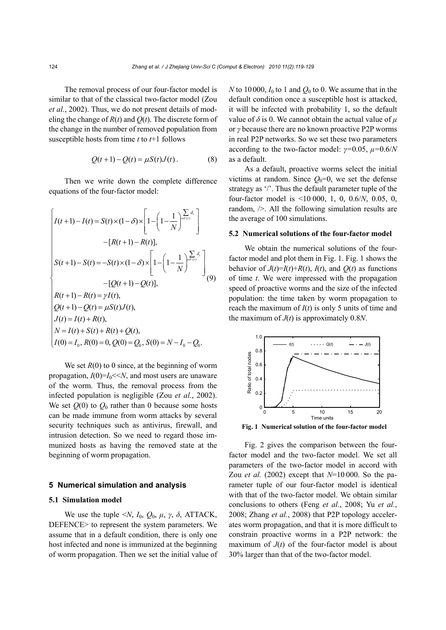The removal process of our four-factor model is similar to that of the classical two-factor model (Zou *et al.*, 2002). Thus, we do not present details of modeling the change of  $R(t)$  and  $Q(t)$ . The discrete form of the change in the number of removed population from susceptible hosts from time *t* to *t*+1 follows

$$
Q(t+1) - Q(t) = \mu S(t)J(t).
$$
 (8)

Then we write down the complete difference equations of the four-factor model:

$$
\begin{bmatrix}\nI(t+1) - I(t) = S(t) \times (1 - \delta) \times \left[ 1 - \left( 1 - \frac{1}{N} \right)^{\sum_{d'} d_i} \right] \\
- [R(t+1) - R(t)], \\
S(t+1) - S(t) = -S(t) \times (1 - \delta) \times \left[ 1 - \left( 1 - \frac{1}{N} \right)^{\sum_{d'} d_i} \right] \\
- [Q(t+1) - Q(t)], \\
R(t+1) - R(t) = \gamma I(t), \\
Q(t+1) - Q(t) = \mu S(t) J(t), \\
J(t) = I(t) + R(t), \\
N = I(t) + S(t) + R(t) + Q(t), \\
I(0) = I_0, R(0) = 0, Q(0) = Q_0, S(0) = N - I_0 - Q_0.\n\end{bmatrix}
$$

We set  $R(0)$  to 0 since, at the beginning of worm propagation,  $I(0)=I_0\ll N$ , and most users are unaware of the worm. Thus, the removal process from the infected population is negligible (Zou *et al.*, 2002). We set  $Q(0)$  to  $Q_0$  rather than 0 because some hosts can be made immune from worm attacks by several security techniques such as antivirus, firewall, and intrusion detection. So we need to regard those immunized hosts as having the removed state at the beginning of worm propagation.

#### **5 Numerical simulation and analysis**

## **5.1 Simulation model**

We use the tuple  $\langle N, I_0, Q_0, \mu, \gamma, \delta,$  ATTACK, DEFENCE> to represent the system parameters. We assume that in a default condition, there is only one host infected and none is immunized at the beginning of worm propagation. Then we set the initial value of *N* to 10000,  $I_0$  to 1 and  $Q_0$  to 0. We assume that in the default condition once a susceptible host is attacked, it will be infected with probability 1, so the default value of  $\delta$  is 0. We cannot obtain the actual value of  $\mu$ or *γ* because there are no known proactive P2P worms in real P2P networks. So we set these two parameters according to the two-factor model: *γ=*0.05, *μ=*0.6/*N* as a default.

As a default, proactive worms select the initial victims at random. Since  $Q_0=0$ , we set the defense strategy as '/'. Thus the default parameter tuple of the four-factor model is <10 000, 1, 0, 0.6/*N*, 0.05, 0, random, />. All the following simulation results are the average of 100 simulations.

#### **5.2 Numerical solutions of the four-factor model**

We obtain the numerical solutions of the fourfactor model and plot them in Fig. 1. Fig. 1 shows the behavior of  $J(t)=I(t)+R(t)$ ,  $I(t)$ , and  $O(t)$  as functions of time *t*. We were impressed with the propagation speed of proactive worms and the size of the infected population: the time taken by worm propagation to reach the maximum of  $I(t)$  is only 5 units of time and the maximum of  $J(t)$  is approximately 0.8*N*.



**Fig. 1 Numerical solution of the four-factor model** 

Fig. 2 gives the comparison between the fourfactor model and the two-factor model. We set all parameters of the two-factor model in accord with Zou *et al.* (2002) except that  $N=10000$ . So the parameter tuple of our four-factor model is identical with that of the two-factor model. We obtain similar conclusions to others (Feng *et al.*, 2008; Yu *et al.*, 2008; Zhang *et al.*, 2008) that P2P topology accelerates worm propagation, and that it is more difficult to constrain proactive worms in a P2P network: the maximum of  $J(t)$  of the four-factor model is about 30% larger than that of the two-factor model.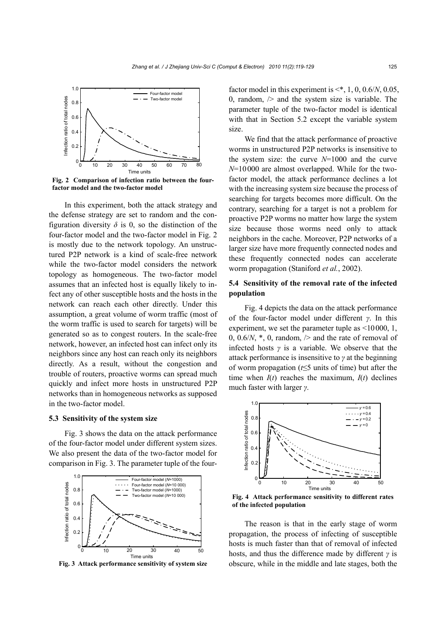

**Fig. 2 Comparison of infection ratio between the fourfactor model and the two-factor model** 

In this experiment, both the attack strategy and the defense strategy are set to random and the configuration diversity  $\delta$  is 0, so the distinction of the four-factor model and the two-factor model in Fig. 2 is mostly due to the network topology. An unstructured P2P network is a kind of scale-free network while the two-factor model considers the network topology as homogeneous. The two-factor model assumes that an infected host is equally likely to infect any of other susceptible hosts and the hosts in the network can reach each other directly. Under this assumption, a great volume of worm traffic (most of the worm traffic is used to search for targets) will be generated so as to congest routers. In the scale-free network, however, an infected host can infect only its neighbors since any host can reach only its neighbors directly. As a result, without the congestion and trouble of routers, proactive worms can spread much quickly and infect more hosts in unstructured P2P networks than in homogeneous networks as supposed in the two-factor model.

#### **5.3 Sensitivity of the system size**

Fig. 3 shows the data on the attack performance of the four-factor model under different system sizes. We also present the data of the two-factor model for comparison in Fig. 3. The parameter tuple of the four-



**Fig. 3 Attack performance sensitivity of system size** 

factor model in this experiment is  $\lt^*$ , 1, 0, 0.6/*N*, 0.05, 0, random,  $\ge$  and the system size is variable. The parameter tuple of the two-factor model is identical with that in Section 5.2 except the variable system size.

We find that the attack performance of proactive worms in unstructured P2P networks is insensitive to the system size: the curve *N*=1000 and the curve *N*=10000 are almost overlapped. While for the twofactor model, the attack performance declines a lot with the increasing system size because the process of searching for targets becomes more difficult. On the contrary, searching for a target is not a problem for proactive P2P worms no matter how large the system size because those worms need only to attack neighbors in the cache. Moreover, P2P networks of a larger size have more frequently connected nodes and these frequently connected nodes can accelerate worm propagation (Staniford *et al.*, 2002).

## **5.4 Sensitivity of the removal rate of the infected population**

Fig. 4 depicts the data on the attack performance of the four-factor model under different *γ*. In this experiment, we set the parameter tuple as <10000, 1, 0, 0.6/*N*,  $\ast$ , 0, random,  $\ge$  and the rate of removal of infected hosts  $\gamma$  is a variable. We observe that the attack performance is insensitive to *γ* at the beginning of worm propagation (*t*≤5 units of time) but after the time when  $I(t)$  reaches the maximum,  $I(t)$  declines much faster with larger *γ*.



**Fig. 4 Attack performance sensitivity to different rates of the infected population** 

The reason is that in the early stage of worm propagation, the process of infecting of susceptible hosts is much faster than that of removal of infected hosts, and thus the difference made by different *γ* is obscure, while in the middle and late stages, both the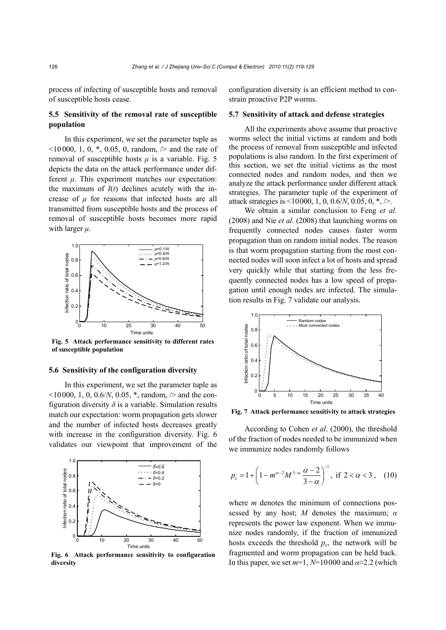process of infecting of susceptible hosts and removal of susceptible hosts cease.

# **5.5 Sensitivity of the removal rate of susceptible population**

In this experiment, we set the parameter tuple as  $10000$ , 1, 0,  $\ast$ , 0.05, 0, random,  $\ge$  and the rate of removal of susceptible hosts  $\mu$  is a variable. Fig. 5 depicts the data on the attack performance under different  $\mu$ . This experiment matches our expectation: the maximum of  $I(t)$  declines acutely with the increase of  $\mu$  for reasons that infected hosts are all transmitted from susceptible hosts and the process of removal of susceptible hosts becomes more rapid with larger *μ*.



**Fig. 5 Attack performance sensitivity to different rates of susceptible population** 

#### **5.6 Sensitivity of the configuration diversity**

In this experiment, we set the parameter tuple as  $\leq 10000$ , 1, 0, 0.6/*N*, 0.05,  $*$ , random,  $\geq$  and the configuration diversity  $\delta$  is a variable. Simulation results match our expectation: worm propagation gets slower and the number of infected hosts decreases greatly with increase in the configuration diversity. Fig. 6 validates our viewpoint that improvement of the



**Fig. 6 Attack performance sensitivity to configuration diversity** 

configuration diversity is an efficient method to constrain proactive P2P worms.

## **5.7 Sensitivity of attack and defense strategies**

All the experiments above assume that proactive worms select the initial victims at random and both the process of removal from susceptible and infected populations is also random. In the first experiment of this section, we set the initial victims as the most connected nodes and random nodes, and then we analyze the attack performance under different attack strategies. The parameter tuple of the experiment of attack strategies is <10000, 1, 0, 0.6/*N*, 0.05, 0, \*, />.

We obtain a similar conclusion to Feng *et al.*  (2008) and Nie *et al.* (2008) that launching worms on frequently connected nodes causes faster worm propagation than on random initial nodes. The reason is that worm propagation starting from the most connected nodes will soon infect a lot of hosts and spread very quickly while that starting from the less frequently connected nodes has a low speed of propagation until enough nodes are infected. The simulation results in Fig. 7 validate our analysis.



**Fig. 7 Attack performance sensitivity to attack strategies**

According to Cohen *et al*. (2000), the threshold of the fraction of nodes needed to be immunized when we immunize nodes randomly follows

$$
p_{\rm c} = 1 + \left(1 - m^{\alpha - 2} M^{3 - \alpha} \frac{\alpha - 2}{3 - \alpha}\right)^{-1}, \text{ if } 2 < \alpha < 3 , \quad (10)
$$

where *m* denotes the minimum of connections possessed by any host; *M* denotes the maximum; *α* represents the power law exponent. When we immunize nodes randomly, if the fraction of immunized hosts exceeds the threshold  $p_c$ , the network will be fragmented and worm propagation can be held back. In this paper, we set  $m=1$ ,  $N=10000$  and  $\alpha \approx 2.2$  (which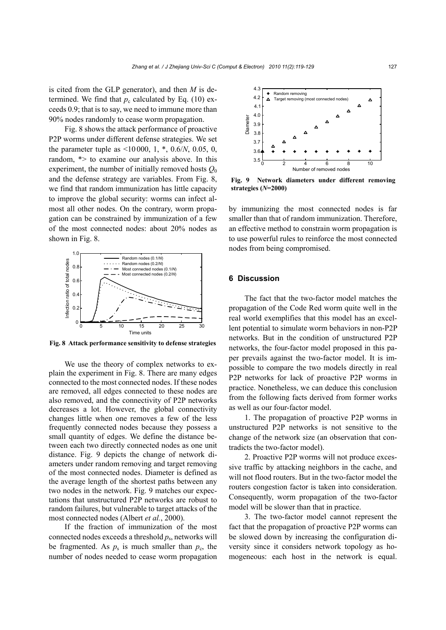is cited from the GLP generator), and then *M* is determined. We find that  $p_c$  calculated by Eq. (10) exceeds 0.9; that is to say, we need to immune more than 90% nodes randomly to cease worm propagation.

Fig. 8 shows the attack performance of proactive P2P worms under different defense strategies. We set the parameter tuple as <10 000, 1, \*, 0.6/*N*, 0.05, 0, random, \*> to examine our analysis above. In this experiment, the number of initially removed hosts  $Q_0$ and the defense strategy are variables. From Fig. 8, we find that random immunization has little capacity to improve the global security: worms can infect almost all other nodes. On the contrary, worm propagation can be constrained by immunization of a few of the most connected nodes: about 20% nodes as shown in Fig. 8.



**Fig. 8 Attack performance sensitivity to defense strategies**

We use the theory of complex networks to explain the experiment in Fig. 8. There are many edges connected to the most connected nodes. If these nodes are removed, all edges connected to these nodes are also removed, and the connectivity of P2P networks decreases a lot. However, the global connectivity changes little when one removes a few of the less frequently connected nodes because they possess a small quantity of edges. We define the distance between each two directly connected nodes as one unit distance. Fig. 9 depicts the change of network diameters under random removing and target removing of the most connected nodes. Diameter is defined as the average length of the shortest paths between any two nodes in the network. Fig. 9 matches our expectations that unstructured P2P networks are robust to random failures, but vulnerable to target attacks of the most connected nodes (Albert *et al.*, 2000).

If the fraction of immunization of the most connected nodes exceeds a threshold  $p_s$ , networks will be fragmented. As  $p_s$  is much smaller than  $p_c$ , the number of nodes needed to cease worm propagation



**Fig. 9 Network diameters under different removing strategies (***N***=2000)** 

by immunizing the most connected nodes is far smaller than that of random immunization. Therefore, an effective method to constrain worm propagation is to use powerful rules to reinforce the most connected nodes from being compromised.

## **6 Discussion**

The fact that the two-factor model matches the propagation of the Code Red worm quite well in the real world exemplifies that this model has an excellent potential to simulate worm behaviors in non-P2P networks. But in the condition of unstructured P2P networks, the four-factor model proposed in this paper prevails against the two-factor model. It is impossible to compare the two models directly in real P2P networks for lack of proactive P2P worms in practice. Nonetheless, we can deduce this conclusion from the following facts derived from former works as well as our four-factor model.

1. The propagation of proactive P2P worms in unstructured P2P networks is not sensitive to the change of the network size (an observation that contradicts the two-factor model).

2. Proactive P2P worms will not produce excessive traffic by attacking neighbors in the cache, and will not flood routers. But in the two-factor model the routers congestion factor is taken into consideration. Consequently, worm propagation of the two-factor model will be slower than that in practice.

3. The two-factor model cannot represent the fact that the propagation of proactive P2P worms can be slowed down by increasing the configuration diversity since it considers network topology as homogeneous: each host in the network is equal.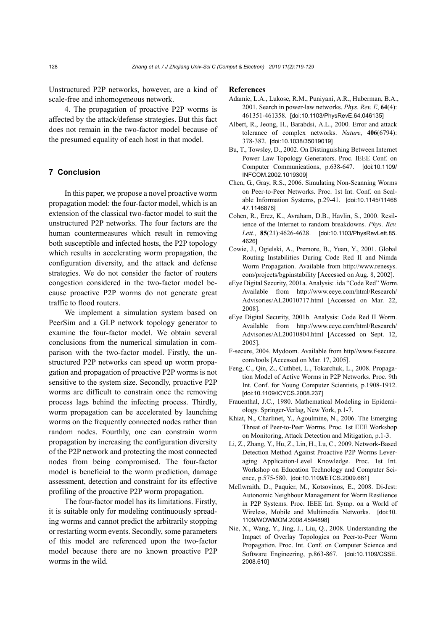Unstructured P2P networks, however, are a kind of scale-free and inhomogeneous network.

4. The propagation of proactive P2P worms is affected by the attack/defense strategies. But this fact does not remain in the two-factor model because of the presumed equality of each host in that model.

## **7 Conclusion**

In this paper, we propose a novel proactive worm propagation model: the four-factor model, which is an extension of the classical two-factor model to suit the unstructured P2P networks. The four factors are the human countermeasures which result in removing both susceptible and infected hosts, the P2P topology which results in accelerating worm propagation, the configuration diversity, and the attack and defense strategies. We do not consider the factor of routers congestion considered in the two-factor model because proactive P2P worms do not generate great traffic to flood routers.

We implement a simulation system based on PeerSim and a GLP network topology generator to examine the four-factor model. We obtain several conclusions from the numerical simulation in comparison with the two-factor model. Firstly, the unstructured P2P networks can speed up worm propagation and propagation of proactive P2P worms is not sensitive to the system size. Secondly, proactive P2P worms are difficult to constrain once the removing process lags behind the infecting process. Thirdly, worm propagation can be accelerated by launching worms on the frequently connected nodes rather than random nodes. Fourthly, one can constrain worm propagation by increasing the configuration diversity of the P2P network and protecting the most connected nodes from being compromised. The four-factor model is beneficial to the worm prediction, damage assessment, detection and constraint for its effective profiling of the proactive P2P worm propagation.

The four-factor model has its limitations. Firstly, it is suitable only for modeling continuously spreading worms and cannot predict the arbitrarily stopping or restarting worm events. Secondly, some parameters of this model are referenced upon the two-factor model because there are no known proactive P2P worms in the wild.

#### **References**

- Adamic, L.A., Lukose, R.M., Puniyani, A.R., Huberman, B.A., 2001. Search in power-law networks. *Phys. Rev. E*, **64**(4): 461351-461358. [doi:10.1103/PhysRevE.64.046135]
- Albert, R., Jeong, H., Barabdsi, A.L., 2000. Error and attack tolerance of complex networks. *Nature*, **406**(6794): 378-382. [doi:10.1038/35019019]
- Bu, T., Towsley, D., 2002. On Distinguishing Between Internet Power Law Topology Generators. Proc. IEEE Conf. on Computer Communications, p.638-647. [doi:10.1109/ INFCOM.2002.1019309]
- Chen, G., Gray, R.S., 2006. Simulating Non-Scanning Worms on Peer-to-Peer Networks. Proc. 1st Int. Conf. on Scalable Information Systems, p.29-41. [doi:10.1145/11468 47.1146876]
- Cohen, R., Erez, K., Avraham, D.B., Havlin, S., 2000. Resilience of the Internet to random breakdowns. *Phys. Rev. Lett.*, **85**(21):4626-4628. [doi:10.1103/PhysRevLett.85. 4626]
- Cowie, J., Ogielski, A., Premore, B., Yuan, Y., 2001. Global Routing Instabilities During Code Red II and Nimda Worm Propagation. Available from http://www.renesys. com/projects/bgpinstability [Accessed on Aug. 8, 2002].
- eEye Digital Security, 2001a. Analysis: .ida "Code Red" Worm. Available from http://www.eeye.com/html/Research/ Advisories/AL20010717.html [Accessed on Mar. 22, 2008].
- eEye Digital Security, 2001b. Analysis: Code Red II Worm. Available from http://www.eeye.com/html/Research/ Advisories/AL20010804.html [Accessed on Sept. 12, 2005].
- F-secure, 2004. Mydoom. Available from http//www.f-secure. com/tools [Accessed on Mar. 17, 2005].
- Feng, C., Qin, Z., Cuthbet, L., Tokarchuk, L., 2008. Propagation Model of Active Worms in P2P Networks. Proc. 9th Int. Conf. for Young Computer Scientists, p.1908-1912. [doi:10.1109/ICYCS.2008.237]
- Frauenthal, J.C., 1980. Mathematical Modeling in Epidemiology. Springer-Verlag, New York, p.1-7.
- Khiat, N., Charlinet, Y., Agoulmine, N., 2006. The Emerging Threat of Peer-to-Peer Worms. Proc. 1st EEE Workshop on Monitoring, Attack Detection and Mitigation, p.1-3.
- Li, Z., Zhang, Y., Hu, Z., Lin, H., Lu, C., 2009. Network-Based Detection Method Against Proactive P2P Worms Leveraging Application-Level Knowledge. Proc. 1st Int. Workshop on Education Technology and Computer Science, p.575-580. [doi:10.1109/ETCS.2009.661]
- McIlwraith, D., Paquier, M., Kotsovinos, E., 2008. Di-Jest: Autonomic Neighbour Management for Worm Resilience in P2P Systems. Proc. IEEE Int. Symp. on a World of Wireless, Mobile and Multimedia Networks. [doi:10. 1109/WOWMOM.2008.4594898]
- Nie, X., Wang, Y., Jing, J., Liu, Q., 2008. Understanding the Impact of Overlay Topologies on Peer-to-Peer Worm Propagation. Proc. Int. Conf. on Computer Science and Software Engineering, p.863-867. [doi:10.1109/CSSE. 2008.610]